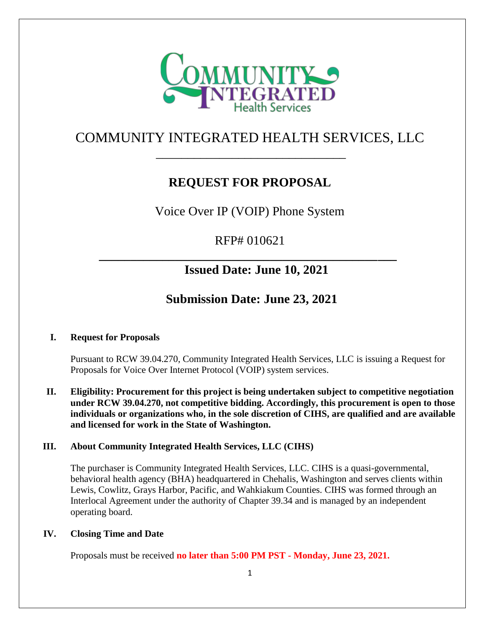

# COMMUNITY INTEGRATED HEALTH SERVICES, LLC \_\_\_\_\_\_\_\_\_\_\_\_\_\_\_\_\_\_\_\_\_\_\_\_\_\_\_\_\_\_

# **REQUEST FOR PROPOSAL**

Voice Over IP (VOIP) Phone System

RFP# 010621

**\_\_\_\_\_\_\_\_\_\_\_\_\_\_\_\_\_\_\_\_\_\_\_\_\_\_\_\_\_\_\_\_\_\_\_\_\_\_\_\_\_\_\_\_\_\_\_**

# **Issued Date: June 10, 2021**

# **Submission Date: June 23, 2021**

# **I. Request for Proposals**

Pursuant to RCW 39.04.270, Community Integrated Health Services, LLC is issuing a Request for Proposals for Voice Over Internet Protocol (VOIP) system services.

# **II. Eligibility: Procurement for this project is being undertaken subject to competitive negotiation under RCW 39.04.270, not competitive bidding. Accordingly, this procurement is open to those individuals or organizations who, in the sole discretion of CIHS, are qualified and are available and licensed for work in the State of Washington.**

# **III. About Community Integrated Health Services, LLC (CIHS)**

The purchaser is Community Integrated Health Services, LLC. CIHS is a quasi-governmental, behavioral health agency (BHA) headquartered in Chehalis, Washington and serves clients within Lewis, Cowlitz, Grays Harbor, Pacific, and Wahkiakum Counties. CIHS was formed through an Interlocal Agreement under the authority of Chapter 39.34 and is managed by an independent operating board.

# **IV. Closing Time and Date**

Proposals must be received **no later than 5:00 PM PST - Monday, June 23, 2021.**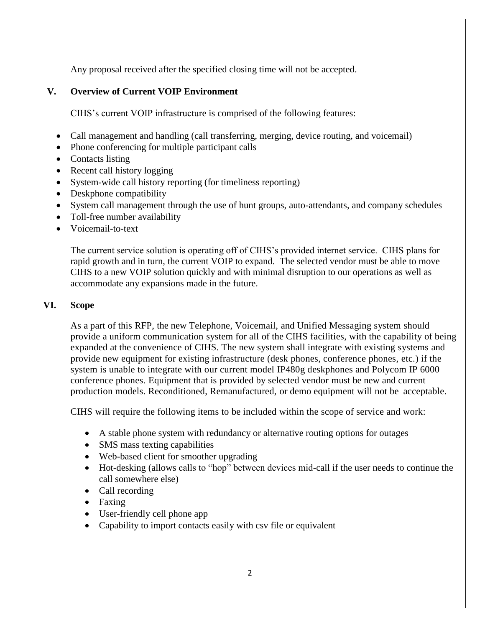Any proposal received after the specified closing time will not be accepted.

# **V. Overview of Current VOIP Environment**

CIHS's current VOIP infrastructure is comprised of the following features:

- Call management and handling (call transferring, merging, device routing, and voicemail)
- Phone conferencing for multiple participant calls
- Contacts listing
- Recent call history logging
- System-wide call history reporting (for timeliness reporting)
- Deskphone compatibility
- System call management through the use of hunt groups, auto-attendants, and company schedules
- Toll-free number availability
- Voicemail-to-text

The current service solution is operating off of CIHS's provided internet service. CIHS plans for rapid growth and in turn, the current VOIP to expand. The selected vendor must be able to move CIHS to a new VOIP solution quickly and with minimal disruption to our operations as well as accommodate any expansions made in the future.

# **VI. Scope**

As a part of this RFP, the new Telephone, Voicemail, and Unified Messaging system should provide a uniform communication system for all of the CIHS facilities, with the capability of being expanded at the convenience of CIHS. The new system shall integrate with existing systems and provide new equipment for existing infrastructure (desk phones, conference phones, etc.) if the system is unable to integrate with our current model IP480g deskphones and Polycom IP 6000 conference phones. Equipment that is provided by selected vendor must be new and current production models. Reconditioned, Remanufactured, or demo equipment will not be acceptable.

CIHS will require the following items to be included within the scope of service and work:

- A stable phone system with redundancy or alternative routing options for outages
- SMS mass texting capabilities
- Web-based client for smoother upgrading
- Hot-desking (allows calls to "hop" between devices mid-call if the user needs to continue the call somewhere else)
- Call recording
- Faxing
- User-friendly cell phone app
- Capability to import contacts easily with csv file or equivalent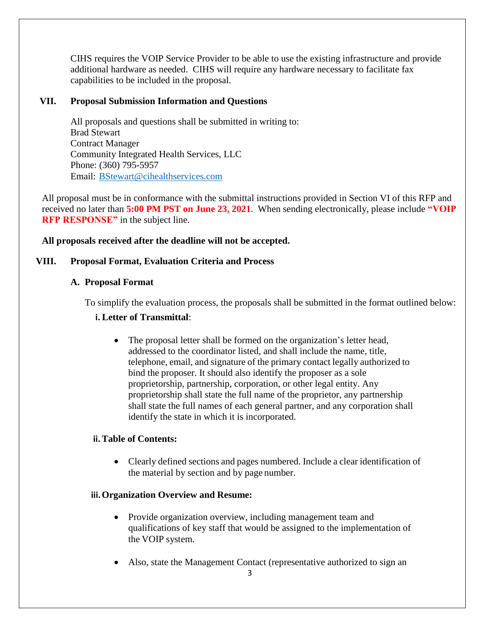CIHS requires the VOIP Service Provider to be able to use the existing infrastructure and provide additional hardware as needed. CIHS will require any hardware necessary to facilitate fax capabilities to be included in the proposal.

# **VII. Proposal Submission Information and Questions**

All proposals and questions shall be submitted in writing to: Brad Stewart Contract Manager Community Integrated Health Services, LLC Phone: (360) 795-5957 Email: [BStewart@cihealthservices.com](mailto:BStewart@cihealthservices.com)

All proposal must be in conformance with the submittal instructions provided in Section VI of this RFP and received no later than **5:00 PM PST on June 23, 2021**. When sending electronically, please include **"VOIP RFP RESPONSE"** in the subject line.

## **All proposals received after the deadline will not be accepted.**

## **VIII. Proposal Format, Evaluation Criteria and Process**

### **A. Proposal Format**

To simplify the evaluation process, the proposals shall be submitted in the format outlined below: **i. Letter of Transmittal**:

• The proposal letter shall be formed on the organization's letter head, addressed to the coordinator listed, and shall include the name, title, telephone, email, and signature of the primary contact legally authorized to bind the proposer. It should also identify the proposer as a sole proprietorship, partnership, corporation, or other legal entity. Any proprietorship shall state the full name of the proprietor, any partnership shall state the full names of each general partner, and any corporation shall identify the state in which it is incorporated.

### **ii.Table of Contents:**

 Clearly defined sections and pages numbered. Include a clear identification of the material by section and by page number.

# **iii.Organization Overview and Resume:**

- Provide organization overview, including management team and qualifications of key staff that would be assigned to the implementation of the VOIP system.
- Also, state the Management Contact (representative authorized to sign an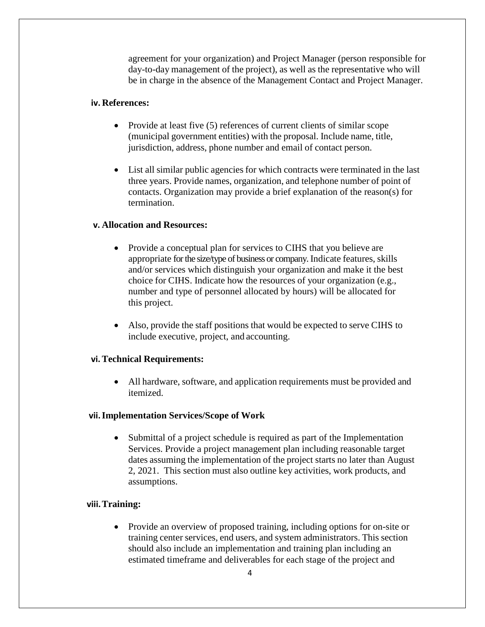agreement for your organization) and Project Manager (person responsible for day-to-day management of the project), as well as the representative who will be in charge in the absence of the Management Contact and Project Manager.

### **iv. References:**

- Provide at least five (5) references of current clients of similar scope (municipal government entities) with the proposal. Include name, title, jurisdiction, address, phone number and email of contact person.
- List all similar public agencies for which contracts were terminated in the last three years. Provide names, organization, and telephone number of point of contacts. Organization may provide a brief explanation of the reason(s) for termination.

# **v. Allocation and Resources:**

- Provide a conceptual plan for services to CIHS that you believe are appropriate for the size/type of business or company. Indicate features, skills and/or services which distinguish your organization and make it the best choice for CIHS. Indicate how the resources of your organization (e.g., number and type of personnel allocated by hours) will be allocated for this project.
- Also, provide the staff positions that would be expected to serve CIHS to include executive, project, and accounting.

# **vi.Technical Requirements:**

 All hardware, software, and application requirements must be provided and itemized.

### **vii.Implementation Services/Scope of Work**

• Submittal of a project schedule is required as part of the Implementation Services. Provide a project management plan including reasonable target dates assuming the implementation of the project starts no later than August 2, 2021. This section must also outline key activities, work products, and assumptions.

# **viii.Training:**

• Provide an overview of proposed training, including options for on-site or training center services, end users, and system administrators. This section should also include an implementation and training plan including an estimated timeframe and deliverables for each stage of the project and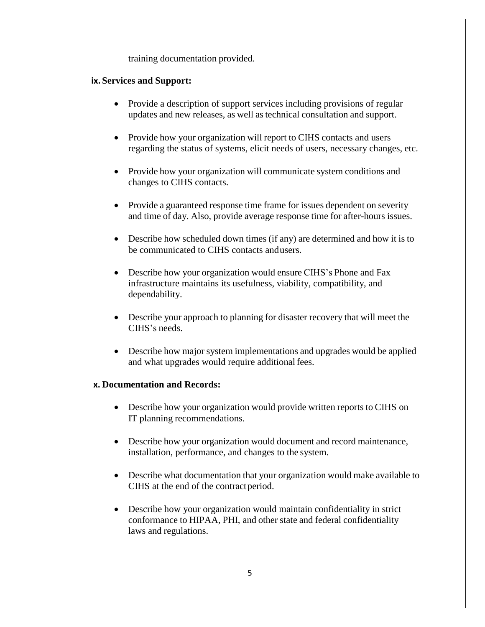training documentation provided.

### **ix. Services and Support:**

- Provide a description of support services including provisions of regular updates and new releases, as well as technical consultation and support.
- Provide how your organization will report to CIHS contacts and users regarding the status of systems, elicit needs of users, necessary changes, etc.
- Provide how your organization will communicate system conditions and changes to CIHS contacts.
- Provide a guaranteed response time frame for issues dependent on severity and time of day. Also, provide average response time for after-hours issues.
- Describe how scheduled down times (if any) are determined and how it is to be communicated to CIHS contacts andusers.
- Describe how your organization would ensure CIHS's Phone and Fax infrastructure maintains its usefulness, viability, compatibility, and dependability.
- Describe your approach to planning for disaster recovery that will meet the CIHS's needs.
- Describe how major system implementations and upgrades would be applied and what upgrades would require additional fees.

### **x. Documentation and Records:**

- Describe how your organization would provide written reports to CIHS on IT planning recommendations.
- Describe how your organization would document and record maintenance, installation, performance, and changes to the system.
- Describe what documentation that your organization would make available to CIHS at the end of the contractperiod.
- Describe how your organization would maintain confidentiality in strict conformance to HIPAA, PHI, and other state and federal confidentiality laws and regulations.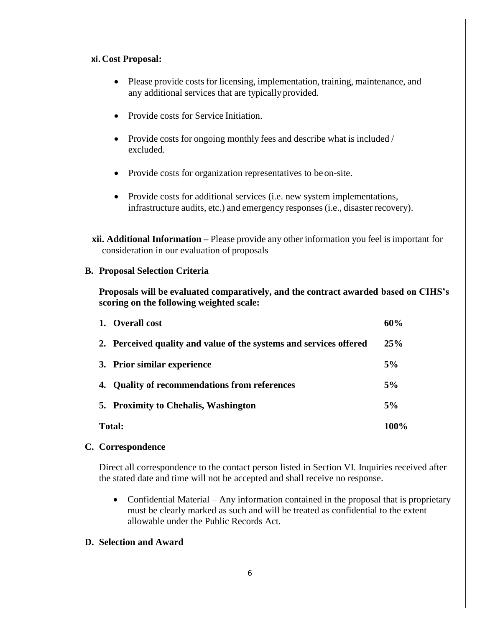### **xi. Cost Proposal:**

- Please provide costs for licensing, implementation, training, maintenance, and any additional services that are typically provided.
- Provide costs for Service Initiation.
- Provide costs for ongoing monthly fees and describe what is included / excluded.
- Provide costs for organization representatives to be on-site.
- Provide costs for additional services (i.e. new system implementations, infrastructure audits, etc.) and emergency responses (i.e., disaster recovery).

**xii. Additional Information –** Please provide any other information you feel is important for consideration in our evaluation of proposals

## **B. Proposal Selection Criteria**

**Proposals will be evaluated comparatively, and the contract awarded based on CIHS's scoring on the following weighted scale:**

| <b>Total:</b> |                                                                    | 100% |
|---------------|--------------------------------------------------------------------|------|
|               | 5. Proximity to Chehalis, Washington                               | 5%   |
|               | 4. Quality of recommendations from references                      | 5%   |
|               | 3. Prior similar experience                                        | 5%   |
|               | 2. Perceived quality and value of the systems and services offered | 25%  |
|               | 1. Overall cost                                                    | 60%  |

# **C. Correspondence**

Direct all correspondence to the contact person listed in Section VI. Inquiries received after the stated date and time will not be accepted and shall receive no response.

• Confidential Material – Any information contained in the proposal that is proprietary must be clearly marked as such and will be treated as confidential to the extent allowable under the Public Records Act.

# **D. Selection and Award**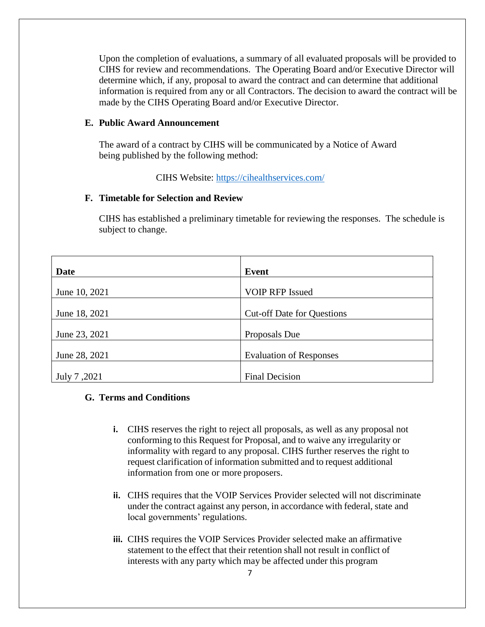Upon the completion of evaluations, a summary of all evaluated proposals will be provided to CIHS for review and recommendations. The Operating Board and/or Executive Director will determine which, if any, proposal to award the contract and can determine that additional information is required from any or all Contractors. The decision to award the contract will be made by the CIHS Operating Board and/or Executive Director.

#### **E. Public Award Announcement**

The award of a contract by CIHS will be communicated by a Notice of Award being published by the following method:

CIHS Website:<https://cihealthservices.com/>

### **F. Timetable for Selection and Review**

CIHS has established a preliminary timetable for reviewing the responses. The schedule is subject to change.

| Date          | <b>Event</b>                      |
|---------------|-----------------------------------|
|               |                                   |
| June 10, 2021 | <b>VOIP RFP Issued</b>            |
|               |                                   |
| June 18, 2021 | <b>Cut-off Date for Questions</b> |
|               |                                   |
| June 23, 2021 | Proposals Due                     |
|               |                                   |
| June 28, 2021 | <b>Evaluation of Responses</b>    |
|               |                                   |
| July 7,2021   | <b>Final Decision</b>             |

# **G. Terms and Conditions**

- **i.** CIHS reserves the right to reject all proposals, as well as any proposal not conforming to this Request for Proposal, and to waive any irregularity or informality with regard to any proposal. CIHS further reserves the right to request clarification of information submitted and to request additional information from one or more proposers.
- **ii.** CIHS requires that the VOIP Services Provider selected will not discriminate under the contract against any person, in accordance with federal, state and local governments' regulations.
- **iii.** CIHS requires the VOIP Services Provider selected make an affirmative statement to the effect that their retention shall not result in conflict of interests with any party which may be affected under this program